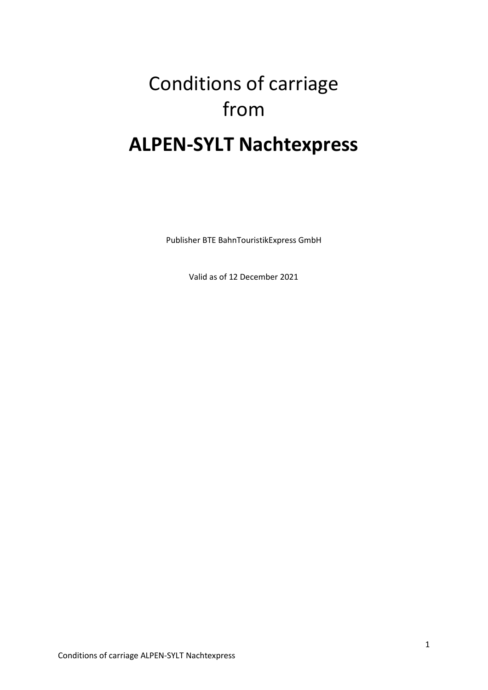# Conditions of carriage from **ALPEN-SYLT Nachtexpress**

Publisher BTE BahnTouristikExpress GmbH

Valid as of 12 December 2021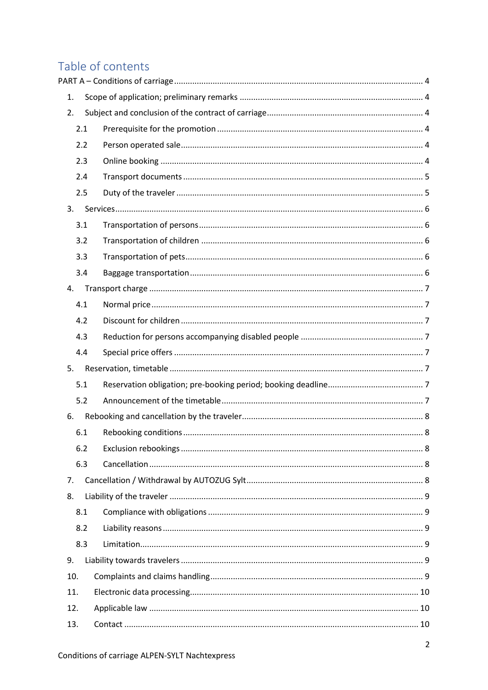# Table of contents

| 1.  |  |
|-----|--|
| 2.  |  |
| 2.1 |  |
| 2.2 |  |
| 2.3 |  |
| 2.4 |  |
| 2.5 |  |
| 3.  |  |
| 3.1 |  |
| 3.2 |  |
| 3.3 |  |
| 3.4 |  |
| 4.  |  |
| 4.1 |  |
| 4.2 |  |
| 4.3 |  |
| 4.4 |  |
| 5.  |  |
| 5.1 |  |
| 5.2 |  |
| 6.  |  |
| 6.1 |  |
| 6.2 |  |
| 6.3 |  |
| 7.  |  |
| 8.  |  |
| 8.1 |  |
| 8.2 |  |
| 8.3 |  |
| 9.  |  |
| 10. |  |
| 11. |  |
| 12. |  |
| 13. |  |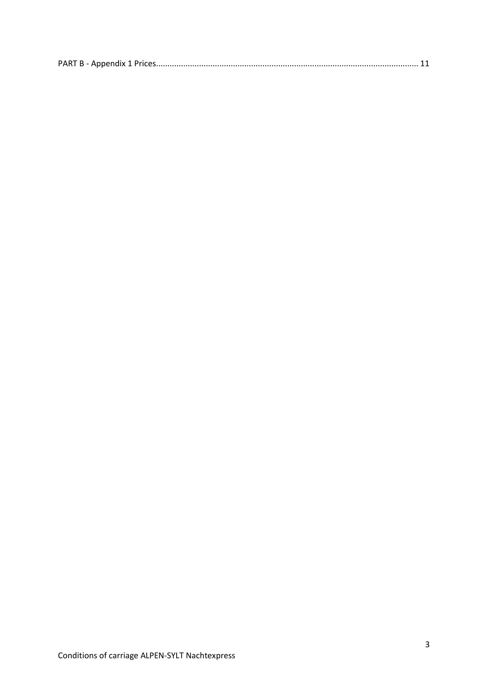|--|--|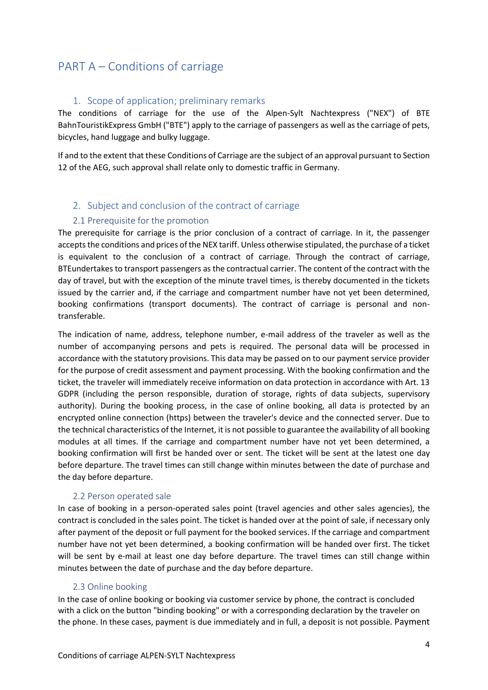### <span id="page-3-0"></span>PART A – Conditions of carriage

#### 1. Scope of application; preliminary remarks

<span id="page-3-1"></span>The conditions of carriage for the use of the Alpen-Sylt Nachtexpress ("NEX") of BTE BahnTouristikExpress GmbH ("BTE") apply to the carriage of passengers as well as the carriage of pets, bicycles, hand luggage and bulky luggage.

If and to the extent that these Conditions of Carriage are the subject of an approval pursuant to Section 12 of the AEG, such approval shall relate only to domestic traffic in Germany.

#### <span id="page-3-2"></span>2. Subject and conclusion of the contract of carriage

#### 2.1 Prerequisite for the promotion

<span id="page-3-3"></span>The prerequisite for carriage is the prior conclusion of a contract of carriage. In it, the passenger accepts the conditions and prices of the NEX tariff. Unless otherwise stipulated, the purchase of a ticket is equivalent to the conclusion of a contract of carriage. Through the contract of carriage, BTEundertakes to transport passengers as the contractual carrier. The content of the contract with the day of travel, but with the exception of the minute travel times, is thereby documented in the tickets issued by the carrier and, if the carriage and compartment number have not yet been determined, booking confirmations (transport documents). The contract of carriage is personal and nontransferable.

The indication of name, address, telephone number, e-mail address of the traveler as well as the number of accompanying persons and pets is required. The personal data will be processed in accordance with the statutory provisions. This data may be passed on to our payment service provider for the purpose of credit assessment and payment processing. With the booking confirmation and the ticket, the traveler will immediately receive information on data protection in accordance with Art. 13 GDPR (including the person responsible, duration of storage, rights of data subjects, supervisory authority). During the booking process, in the case of online booking, all data is protected by an encrypted online connection (https) between the traveler's device and the connected server. Due to the technical characteristics of the Internet, it is not possible to guarantee the availability of all booking modules at all times. If the carriage and compartment number have not yet been determined, a booking confirmation will first be handed over or sent. The ticket will be sent at the latest one day before departure. The travel times can still change within minutes between the date of purchase and the day before departure.

#### 2.2 Person operated sale

<span id="page-3-4"></span>In case of booking in a person-operated sales point (travel agencies and other sales agencies), the contract is concluded in the sales point. The ticket is handed over at the point of sale, if necessary only after payment of the deposit or full payment for the booked services. If the carriage and compartment number have not yet been determined, a booking confirmation will be handed over first. The ticket will be sent by e-mail at least one day before departure. The travel times can still change within minutes between the date of purchase and the day before departure.

#### 2.3 Online booking

<span id="page-3-5"></span>In the case of online booking or booking via customer service by phone, the contract is concluded with a click on the button "binding booking" or with a corresponding declaration by the traveler on the phone. In these cases, payment is due immediately and in full, a deposit is not possible. Payment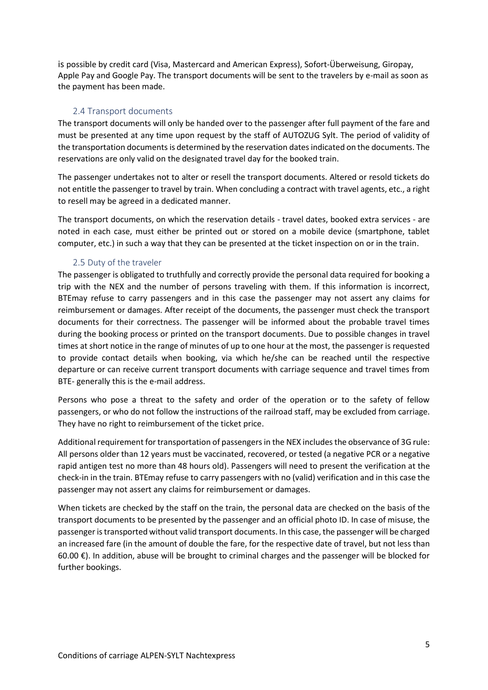is possible by credit card (Visa, Mastercard and American Express), Sofort-Überweisung, Giropay, Apple Pay and Google Pay. The transport documents will be sent to the travelers by e-mail as soon as the payment has been made.

#### 2.4 Transport documents

<span id="page-4-0"></span>The transport documents will only be handed over to the passenger after full payment of the fare and must be presented at any time upon request by the staff of AUTOZUG Sylt. The period of validity of the transportation documents is determined by the reservation dates indicated on the documents. The reservations are only valid on the designated travel day for the booked train.

The passenger undertakes not to alter or resell the transport documents. Altered or resold tickets do not entitle the passenger to travel by train. When concluding a contract with travel agents, etc., a right to resell may be agreed in a dedicated manner.

The transport documents, on which the reservation details - travel dates, booked extra services - are noted in each case, must either be printed out or stored on a mobile device (smartphone, tablet computer, etc.) in such a way that they can be presented at the ticket inspection on or in the train.

#### 2.5 Duty of the traveler

<span id="page-4-1"></span>The passenger is obligated to truthfully and correctly provide the personal data required for booking a trip with the NEX and the number of persons traveling with them. If this information is incorrect, BTEmay refuse to carry passengers and in this case the passenger may not assert any claims for reimbursement or damages. After receipt of the documents, the passenger must check the transport documents for their correctness. The passenger will be informed about the probable travel times during the booking process or printed on the transport documents. Due to possible changes in travel times at short notice in the range of minutes of up to one hour at the most, the passenger is requested to provide contact details when booking, via which he/she can be reached until the respective departure or can receive current transport documents with carriage sequence and travel times from BTE- generally this is the e-mail address.

Persons who pose a threat to the safety and order of the operation or to the safety of fellow passengers, or who do not follow the instructions of the railroad staff, may be excluded from carriage. They have no right to reimbursement of the ticket price.

Additional requirement for transportation of passengers in the NEX includes the observance of 3G rule: All persons older than 12 years must be vaccinated, recovered, or tested (a negative PCR or a negative rapid antigen test no more than 48 hours old). Passengers will need to present the verification at the check-in in the train. BTEmay refuse to carry passengers with no (valid) verification and in this case the passenger may not assert any claims for reimbursement or damages.

When tickets are checked by the staff on the train, the personal data are checked on the basis of the transport documents to be presented by the passenger and an official photo ID. In case of misuse, the passenger is transported without valid transport documents. In this case, the passenger will be charged an increased fare (in the amount of double the fare, for the respective date of travel, but not less than 60.00 €). In addition, abuse will be brought to criminal charges and the passenger will be blocked for further bookings.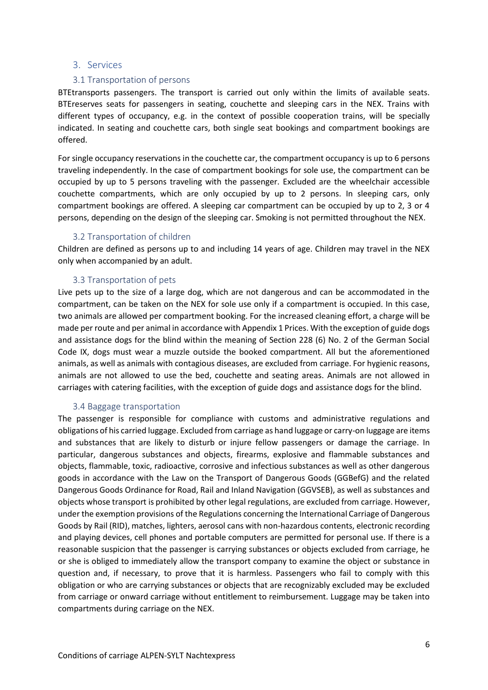#### <span id="page-5-0"></span>3. Services

#### 3.1 Transportation of persons

<span id="page-5-1"></span>BTEtransports passengers. The transport is carried out only within the limits of available seats. BTEreserves seats for passengers in seating, couchette and sleeping cars in the NEX. Trains with different types of occupancy, e.g. in the context of possible cooperation trains, will be specially indicated. In seating and couchette cars, both single seat bookings and compartment bookings are offered.

For single occupancy reservations in the couchette car, the compartment occupancy is up to 6 persons traveling independently. In the case of compartment bookings for sole use, the compartment can be occupied by up to 5 persons traveling with the passenger. Excluded are the wheelchair accessible couchette compartments, which are only occupied by up to 2 persons. In sleeping cars, only compartment bookings are offered. A sleeping car compartment can be occupied by up to 2, 3 or 4 persons, depending on the design of the sleeping car. Smoking is not permitted throughout the NEX.

#### 3.2 Transportation of children

<span id="page-5-2"></span>Children are defined as persons up to and including 14 years of age. Children may travel in the NEX only when accompanied by an adult.

#### 3.3 Transportation of pets

<span id="page-5-3"></span>Live pets up to the size of a large dog, which are not dangerous and can be accommodated in the compartment, can be taken on the NEX for sole use only if a compartment is occupied. In this case, two animals are allowed per compartment booking. For the increased cleaning effort, a charge will be made per route and per animal in accordance with Appendix 1 Prices. With the exception of guide dogs and assistance dogs for the blind within the meaning of Section 228 (6) No. 2 of the German Social Code IX, dogs must wear a muzzle outside the booked compartment. All but the aforementioned animals, as well as animals with contagious diseases, are excluded from carriage. For hygienic reasons, animals are not allowed to use the bed, couchette and seating areas. Animals are not allowed in carriages with catering facilities, with the exception of guide dogs and assistance dogs for the blind.

#### 3.4 Baggage transportation

<span id="page-5-4"></span>The passenger is responsible for compliance with customs and administrative regulations and obligations of his carried luggage. Excluded from carriage as hand luggage or carry-on luggage are items and substances that are likely to disturb or injure fellow passengers or damage the carriage. In particular, dangerous substances and objects, firearms, explosive and flammable substances and objects, flammable, toxic, radioactive, corrosive and infectious substances as well as other dangerous goods in accordance with the Law on the Transport of Dangerous Goods (GGBefG) and the related Dangerous Goods Ordinance for Road, Rail and Inland Navigation (GGVSEB), as well as substances and objects whose transport is prohibited by other legal regulations, are excluded from carriage. However, under the exemption provisions of the Regulations concerning the International Carriage of Dangerous Goods by Rail (RID), matches, lighters, aerosol cans with non-hazardous contents, electronic recording and playing devices, cell phones and portable computers are permitted for personal use. If there is a reasonable suspicion that the passenger is carrying substances or objects excluded from carriage, he or she is obliged to immediately allow the transport company to examine the object or substance in question and, if necessary, to prove that it is harmless. Passengers who fail to comply with this obligation or who are carrying substances or objects that are recognizably excluded may be excluded from carriage or onward carriage without entitlement to reimbursement. Luggage may be taken into compartments during carriage on the NEX.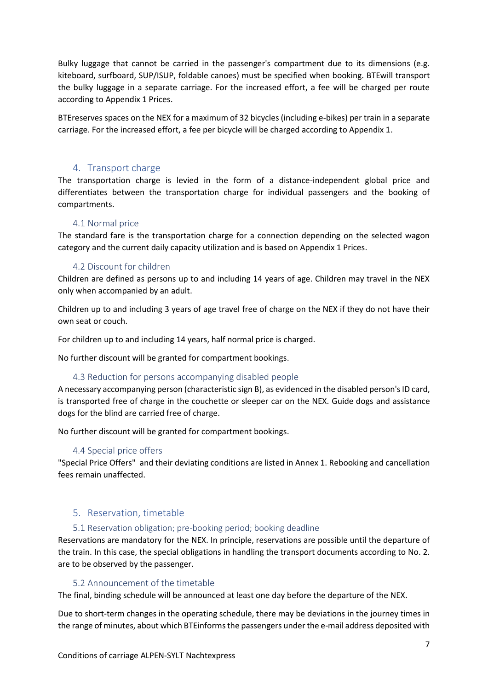Bulky luggage that cannot be carried in the passenger's compartment due to its dimensions (e.g. kiteboard, surfboard, SUP/ISUP, foldable canoes) must be specified when booking. BTEwill transport the bulky luggage in a separate carriage. For the increased effort, a fee will be charged per route according to Appendix 1 Prices.

BTEreserves spaces on the NEX for a maximum of 32 bicycles (including e-bikes) per train in a separate carriage. For the increased effort, a fee per bicycle will be charged according to Appendix 1.

#### 4. Transport charge

<span id="page-6-0"></span>The transportation charge is levied in the form of a distance-independent global price and differentiates between the transportation charge for individual passengers and the booking of compartments.

#### 4.1 Normal price

<span id="page-6-1"></span>The standard fare is the transportation charge for a connection depending on the selected wagon category and the current daily capacity utilization and is based on Appendix 1 Prices.

#### 4.2 Discount for children

<span id="page-6-2"></span>Children are defined as persons up to and including 14 years of age. Children may travel in the NEX only when accompanied by an adult.

Children up to and including 3 years of age travel free of charge on the NEX if they do not have their own seat or couch.

For children up to and including 14 years, half normal price is charged.

No further discount will be granted for compartment bookings.

#### 4.3 Reduction for persons accompanying disabled people

<span id="page-6-3"></span>A necessary accompanying person (characteristic sign B), as evidenced in the disabled person's ID card, is transported free of charge in the couchette or sleeper car on the NEX. Guide dogs and assistance dogs for the blind are carried free of charge.

No further discount will be granted for compartment bookings.

#### 4.4 Special price offers

<span id="page-6-4"></span>"Special Price Offers" and their deviating conditions are listed in Annex 1. Rebooking and cancellation fees remain unaffected.

#### <span id="page-6-5"></span>5. Reservation, timetable

#### 5.1 Reservation obligation; pre-booking period; booking deadline

<span id="page-6-6"></span>Reservations are mandatory for the NEX. In principle, reservations are possible until the departure of the train. In this case, the special obligations in handling the transport documents according to No. 2. are to be observed by the passenger.

#### 5.2 Announcement of the timetable

<span id="page-6-7"></span>The final, binding schedule will be announced at least one day before the departure of the NEX.

Due to short-term changes in the operating schedule, there may be deviations in the journey times in the range of minutes, about which BTEinforms the passengers under the e-mail address deposited with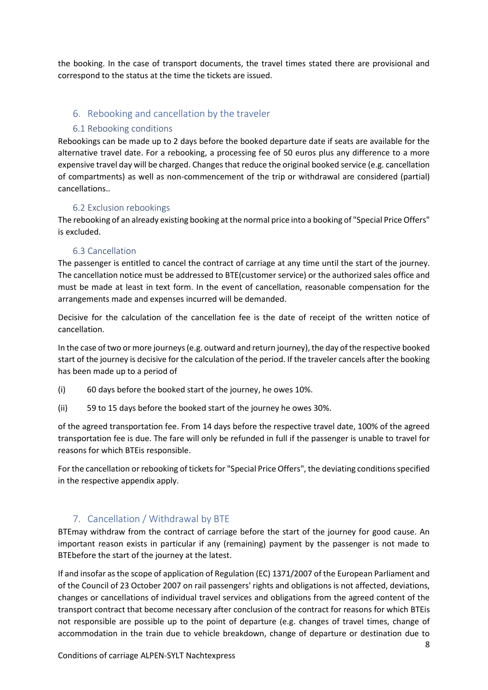the booking. In the case of transport documents, the travel times stated there are provisional and correspond to the status at the time the tickets are issued.

#### <span id="page-7-0"></span>6. Rebooking and cancellation by the traveler

#### <span id="page-7-1"></span>6.1 Rebooking conditions

Rebookings can be made up to 2 days before the booked departure date if seats are available for the alternative travel date. For a rebooking, a processing fee of 50 euros plus any difference to a more expensive travel day will be charged. Changes that reduce the original booked service (e.g. cancellation of compartments) as well as non-commencement of the trip or withdrawal are considered (partial) cancellations..

#### 6.2 Exclusion rebookings

<span id="page-7-2"></span>The rebooking of an already existing booking at the normal price into a booking of "Special Price Offers" is excluded.

#### 6.3 Cancellation

<span id="page-7-3"></span>The passenger is entitled to cancel the contract of carriage at any time until the start of the journey. The cancellation notice must be addressed to BTE(customer service) or the authorized sales office and must be made at least in text form. In the event of cancellation, reasonable compensation for the arrangements made and expenses incurred will be demanded.

Decisive for the calculation of the cancellation fee is the date of receipt of the written notice of cancellation.

In the case of two or more journeys (e.g. outward and return journey), the day of the respective booked start of the journey is decisive for the calculation of the period. If the traveler cancels after the booking has been made up to a period of

- (i) 60 days before the booked start of the journey, he owes 10%.
- (ii) 59 to 15 days before the booked start of the journey he owes 30%.

of the agreed transportation fee. From 14 days before the respective travel date, 100% of the agreed transportation fee is due. The fare will only be refunded in full if the passenger is unable to travel for reasons for which BTEis responsible.

For the cancellation or rebooking of tickets for "Special Price Offers", the deviating conditions specified in the respective appendix apply.

#### 7. Cancellation / Withdrawal by BTE

<span id="page-7-4"></span>BTEmay withdraw from the contract of carriage before the start of the journey for good cause. An important reason exists in particular if any (remaining) payment by the passenger is not made to BTEbefore the start of the journey at the latest.

If and insofar as the scope of application of Regulation (EC) 1371/2007 of the European Parliament and of the Council of 23 October 2007 on rail passengers' rights and obligations is not affected, deviations, changes or cancellations of individual travel services and obligations from the agreed content of the transport contract that become necessary after conclusion of the contract for reasons for which BTEis not responsible are possible up to the point of departure (e.g. changes of travel times, change of accommodation in the train due to vehicle breakdown, change of departure or destination due to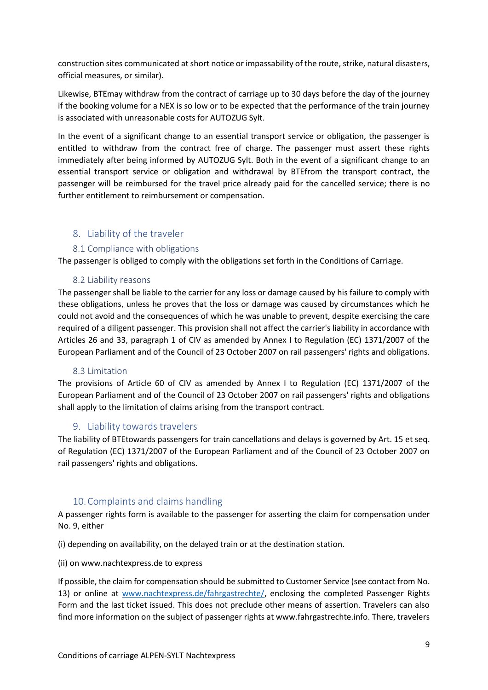construction sites communicated at short notice or impassability of the route, strike, natural disasters, official measures, or similar).

Likewise, BTEmay withdraw from the contract of carriage up to 30 days before the day of the journey if the booking volume for a NEX is so low or to be expected that the performance of the train journey is associated with unreasonable costs for AUTOZUG Sylt.

In the event of a significant change to an essential transport service or obligation, the passenger is entitled to withdraw from the contract free of charge. The passenger must assert these rights immediately after being informed by AUTOZUG Sylt. Both in the event of a significant change to an essential transport service or obligation and withdrawal by BTEfrom the transport contract, the passenger will be reimbursed for the travel price already paid for the cancelled service; there is no further entitlement to reimbursement or compensation.

#### <span id="page-8-0"></span>8. Liability of the traveler

#### 8.1 Compliance with obligations

<span id="page-8-1"></span>The passenger is obliged to comply with the obligations set forth in the Conditions of Carriage.

#### 8.2 Liability reasons

<span id="page-8-2"></span>The passenger shall be liable to the carrier for any loss or damage caused by his failure to comply with these obligations, unless he proves that the loss or damage was caused by circumstances which he could not avoid and the consequences of which he was unable to prevent, despite exercising the care required of a diligent passenger. This provision shall not affect the carrier's liability in accordance with Articles 26 and 33, paragraph 1 of CIV as amended by Annex I to Regulation (EC) 1371/2007 of the European Parliament and of the Council of 23 October 2007 on rail passengers' rights and obligations.

#### 8.3 Limitation

<span id="page-8-3"></span>The provisions of Article 60 of CIV as amended by Annex I to Regulation (EC) 1371/2007 of the European Parliament and of the Council of 23 October 2007 on rail passengers' rights and obligations shall apply to the limitation of claims arising from the transport contract.

#### 9. Liability towards travelers

<span id="page-8-4"></span>The liability of BTEtowards passengers for train cancellations and delays is governed by Art. 15 et seq. of Regulation (EC) 1371/2007 of the European Parliament and of the Council of 23 October 2007 on rail passengers' rights and obligations.

#### 10.Complaints and claims handling

<span id="page-8-5"></span>A passenger rights form is available to the passenger for asserting the claim for compensation under No. 9, either

(i) depending on availability, on the delayed train or at the destination station.

(ii) on www.nachtexpress.de to express

If possible, the claim for compensation should be submitted to Customer Service (see contact from No. 13) or online at [www.nachtexpress.de/fahrgastrechte/,](file:///C:/Users/Sandy.Kruse/AppData/Local/Microsoft/Windows/INetCache/Content.Outlook/Q48OSUOZ/www.nachtexpress.de/fahrgastrechte/) enclosing the completed Passenger Rights Form and the last ticket issued. This does not preclude other means of assertion. Travelers can also find more information on the subject of passenger rights at www.fahrgastrechte.info. There, travelers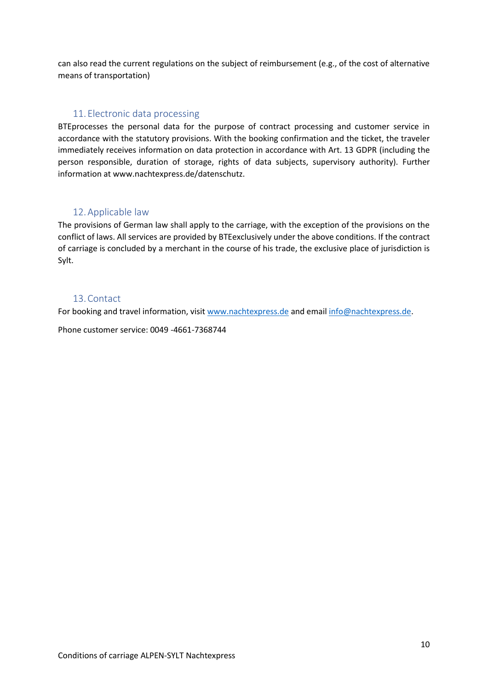can also read the current regulations on the subject of reimbursement (e.g., of the cost of alternative means of transportation)

#### 11. Electronic data processing

<span id="page-9-0"></span>BTEprocesses the personal data for the purpose of contract processing and customer service in accordance with the statutory provisions. With the booking confirmation and the ticket, the traveler immediately receives information on data protection in accordance with Art. 13 GDPR (including the person responsible, duration of storage, rights of data subjects, supervisory authority). Further information at www.nachtexpress.de/datenschutz.

#### 12.Applicable law

<span id="page-9-1"></span>The provisions of German law shall apply to the carriage, with the exception of the provisions on the conflict of laws. All services are provided by BTEexclusively under the above conditions. If the contract of carriage is concluded by a merchant in the course of his trade, the exclusive place of jurisdiction is Sylt.

#### 13.Contact

<span id="page-9-2"></span>For booking and travel information, visit [www.nachtexpress.de](http://www.nachtexpress.de/) and email [info@nachtexpress.de.](mailto:info@nachtexpress.de)

Phone customer service: 0049 -4661-7368744